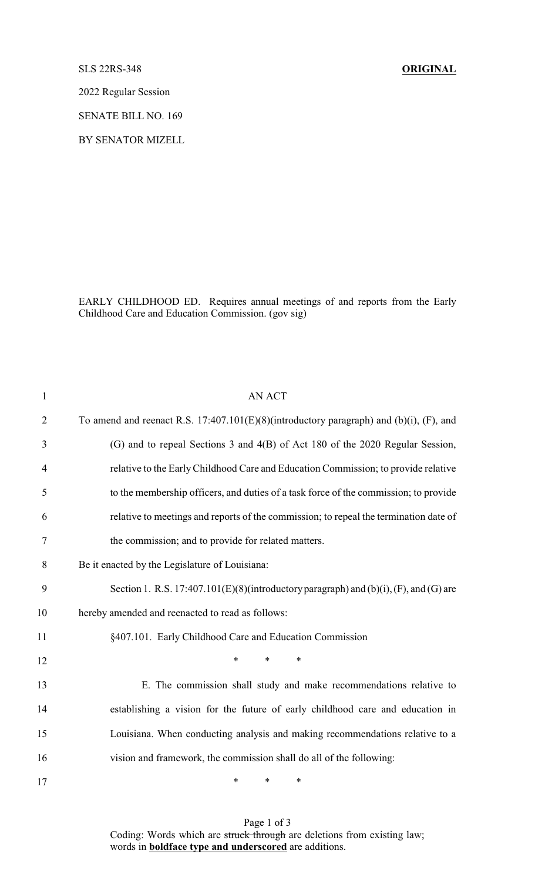SLS 22RS-348 **ORIGINAL**

2022 Regular Session

SENATE BILL NO. 169

BY SENATOR MIZELL

EARLY CHILDHOOD ED. Requires annual meetings of and reports from the Early Childhood Care and Education Commission. (gov sig)

| $\mathbf{1}$   | <b>AN ACT</b>                                                                              |
|----------------|--------------------------------------------------------------------------------------------|
| $\overline{2}$ | To amend and reenact R.S. $17:407.101(E)(8)$ (introductory paragraph) and (b)(i), (F), and |
| 3              | (G) and to repeal Sections 3 and 4(B) of Act 180 of the 2020 Regular Session,              |
| $\overline{4}$ | relative to the Early Childhood Care and Education Commission; to provide relative         |
| 5              | to the membership officers, and duties of a task force of the commission; to provide       |
| 6              | relative to meetings and reports of the commission; to repeal the termination date of      |
| 7              | the commission; and to provide for related matters.                                        |
| 8              | Be it enacted by the Legislature of Louisiana:                                             |
| 9              | Section 1. R.S. 17:407.101(E)(8)(introductory paragraph) and (b)(i), (F), and (G) are      |
| 10             | hereby amended and reenacted to read as follows:                                           |
| 11             | §407.101. Early Childhood Care and Education Commission                                    |
| 12             | *<br>$\ast$<br>$\ast$                                                                      |
| 13             | E. The commission shall study and make recommendations relative to                         |
| 14             | establishing a vision for the future of early childhood care and education in              |
| 15             | Louisiana. When conducting analysis and making recommendations relative to a               |
| 16             | vision and framework, the commission shall do all of the following:                        |
| 17             | $\ast$<br>$\ast$<br>∗                                                                      |

Page 1 of 3 Coding: Words which are struck through are deletions from existing law; words in **boldface type and underscored** are additions.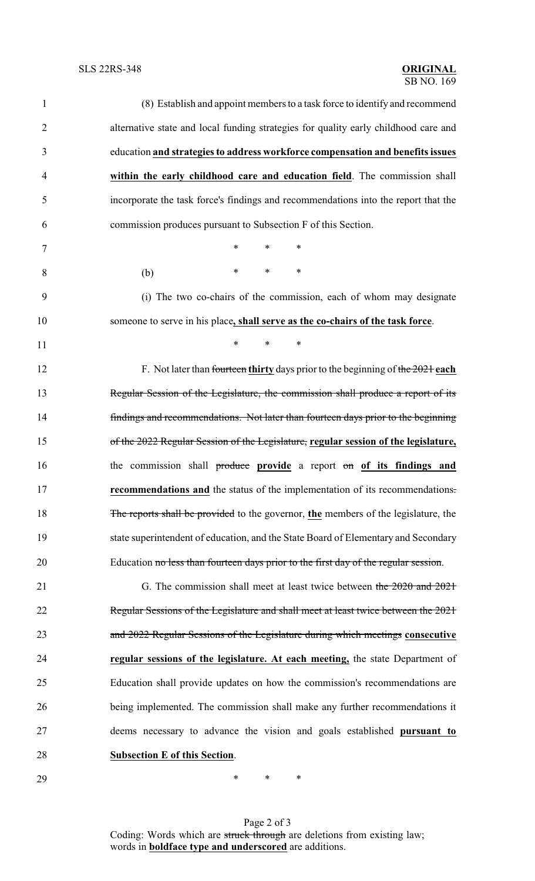| $\mathbf{1}$   | (8) Establish and appoint members to a task force to identify and recommend         |
|----------------|-------------------------------------------------------------------------------------|
| $\overline{2}$ | alternative state and local funding strategies for quality early childhood care and |
| 3              | education and strategies to address workforce compensation and benefits issues      |
| $\overline{4}$ | within the early childhood care and education field. The commission shall           |
| 5              | incorporate the task force's findings and recommendations into the report that the  |
| 6              | commission produces pursuant to Subsection F of this Section.                       |
| 7              | $\ast$<br>$\ast$<br>$\ast$                                                          |
| 8              | $\ast$<br>∗<br>∗<br>(b)                                                             |
| 9              | (i) The two co-chairs of the commission, each of whom may designate                 |
| 10             | someone to serve in his place, shall serve as the co-chairs of the task force.      |
| 11             | $\ast$<br>*<br>$\ast$                                                               |
| 12             | F. Not later than fourteen thirty days prior to the beginning of the $2021$ each    |
| 13             | Regular Session of the Legislature, the commission shall produce a report of its    |
| 14             | findings and recommendations. Not later than fourteen days prior to the beginning   |
| 15             | of the 2022 Regular Session of the Legislature, regular session of the legislature, |
| 16             | the commission shall produce provide a report on of its findings and                |
| 17             | recommendations and the status of the implementation of its recommendations.        |
| 18             | The reports shall be provided to the governor, the members of the legislature, the  |
| 19             | state superintendent of education, and the State Board of Elementary and Secondary  |
| 20             | Education no less than fourteen days prior to the first day of the regular session. |
| 21             | G. The commission shall meet at least twice between the 2020 and 2021               |
| 22             | Regular Sessions of the Legislature and shall meet at least twice between the 2021  |
| 23             | and 2022 Regular Sessions of the Legislature during which meetings consecutive      |
| 24             | regular sessions of the legislature. At each meeting, the state Department of       |
| 25             | Education shall provide updates on how the commission's recommendations are         |
| 26             | being implemented. The commission shall make any further recommendations it         |
| 27             | deems necessary to advance the vision and goals established pursuant to             |
| 28             | <b>Subsection E of this Section.</b>                                                |
| 29             | $\ast$<br>∗<br>∗                                                                    |

Page 2 of 3 Coding: Words which are struck through are deletions from existing law; words in **boldface type and underscored** are additions.